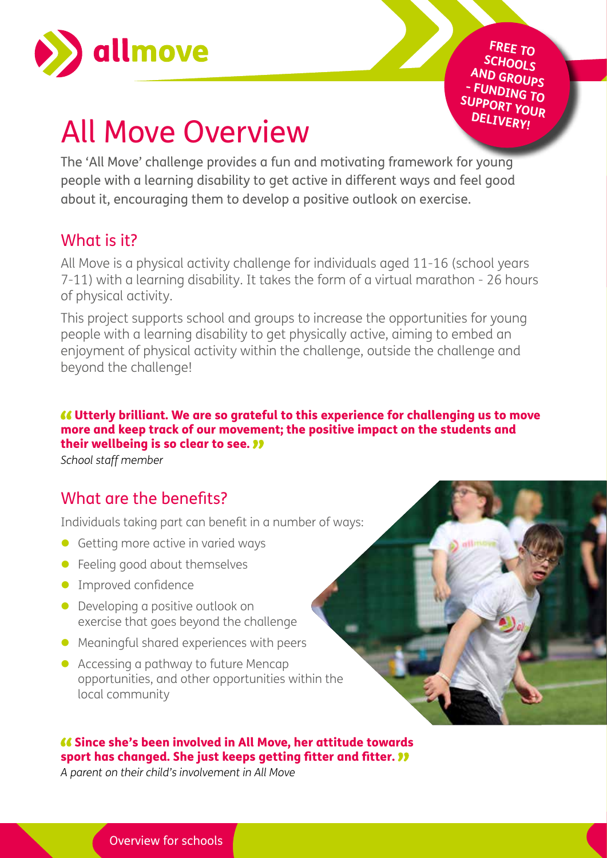

**FREE TO SCHOOLS AND GROUPS - FUNDING TO SUPPORT YOUR DELIVERY!**

# All Move Overview

The 'All Move' challenge provides a fun and motivating framework for young people with a learning disability to get active in different ways and feel good about it, encouraging them to develop a positive outlook on exercise.

## What is it?

All Move is a physical activity challenge for individuals aged 11-16 (school years 7-11) with a learning disability. It takes the form of a virtual marathon - 26 hours of physical activity.

This project supports school and groups to increase the opportunities for young people with a learning disability to get physically active, aiming to embed an enjoyment of physical activity within the challenge, outside the challenge and beyond the challenge!

Utterly brilliant. We are so grateful to this experience for challenging us to move more and keep track of our movement; the positive impact on the students and their wellbeing is so clear to see. "

*School staff member*

# What are the benefits?

Individuals taking part can benefit in a number of ways:

- Getting more active in varied ways
- $\bullet$  Feeling good about themselves
- **Improved confidence**
- Developing a positive outlook on exercise that goes beyond the challenge
- $\bullet$  Meaningful shared experiences with peers
- Accessing a pathway to future Mencap opportunities, and other opportunities within the local community

#### Since she's been involved in All Move, her attitude towards sport has changed. She just keeps getting fitter and fitter.  $\mathcal{V}$

*A parent on their child's involvement in All Move*